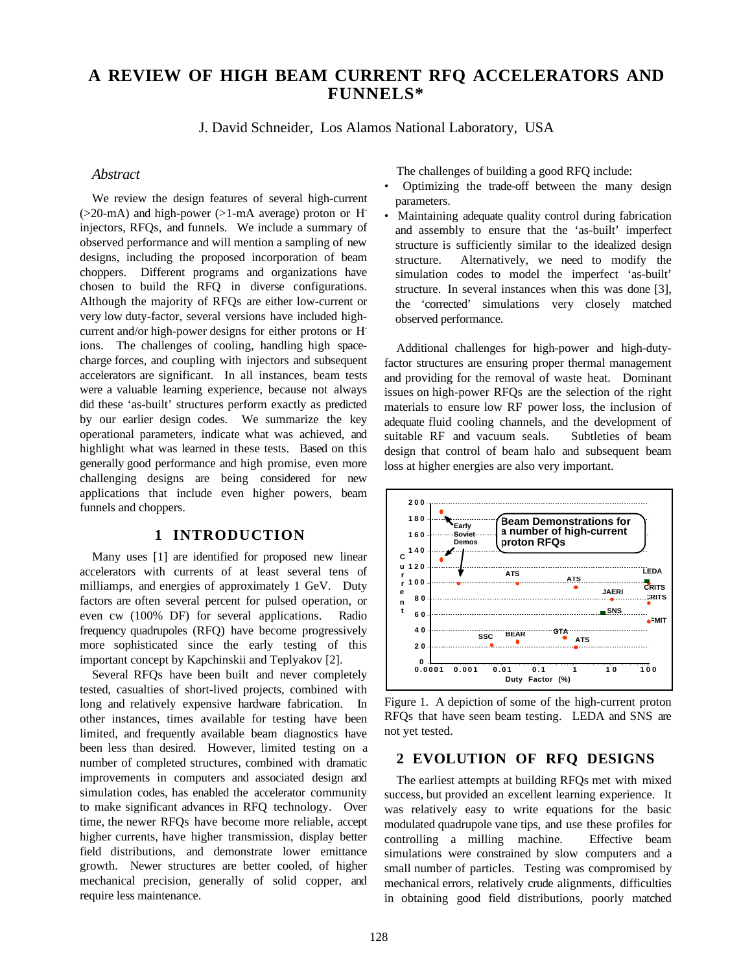# **A REVIEW OF HIGH BEAM CURRENT RFQ ACCELERATORS AND FUNNELS\***

J. David Schneider, Los Alamos National Laboratory, USA

#### *Abstract*

We review the design features of several high-current  $(>20$ -mA) and high-power  $(>1$ -mA average) proton or H<sup>-</sup> injectors, RFQs, and funnels. We include a summary of observed performance and will mention a sampling of new designs, including the proposed incorporation of beam choppers. Different programs and organizations have chosen to build the RFQ in diverse configurations. Although the majority of RFQs are either low-current or very low duty-factor, several versions have included highcurrent and/or high-power designs for either protons or Hions. The challenges of cooling, handling high spacecharge forces, and coupling with injectors and subsequent accelerators are significant. In all instances, beam tests were a valuable learning experience, because not always did these 'as-built' structures perform exactly as predicted by our earlier design codes. We summarize the key operational parameters, indicate what was achieved, and highlight what was learned in these tests. Based on this generally good performance and high promise, even more challenging designs are being considered for new applications that include even higher powers, beam funnels and choppers.

### **1 INTRODUCTION**

Many uses [1] are identified for proposed new linear accelerators with currents of at least several tens of milliamps, and energies of approximately 1 GeV. Duty factors are often several percent for pulsed operation, or even cw (100% DF) for several applications. Radio frequency quadrupoles (RFQ) have become progressively more sophisticated since the early testing of this important concept by Kapchinskii and Teplyakov [2].

Several RFQs have been built and never completely tested, casualties of short-lived projects, combined with long and relatively expensive hardware fabrication. In other instances, times available for testing have been limited, and frequently available beam diagnostics have been less than desired. However, limited testing on a number of completed structures, combined with dramatic improvements in computers and associated design and simulation codes, has enabled the accelerator community to make significant advances in RFQ technology. Over time, the newer RFQs have become more reliable, accept higher currents, have higher transmission, display better field distributions, and demonstrate lower emittance growth. Newer structures are better cooled, of higher mechanical precision, generally of solid copper, and require less maintenance.

The challenges of building a good RFQ include:

- Optimizing the trade-off between the many design parameters.
- Maintaining adequate quality control during fabrication and assembly to ensure that the 'as-built' imperfect structure is sufficiently similar to the idealized design structure. Alternatively, we need to modify the simulation codes to model the imperfect 'as-built' structure. In several instances when this was done [3], the 'corrected' simulations very closely matched observed performance.

Additional challenges for high-power and high-dutyfactor structures are ensuring proper thermal management and providing for the removal of waste heat. Dominant issues on high-power RFQs are the selection of the right materials to ensure low RF power loss, the inclusion of adequate fluid cooling channels, and the development of suitable RF and vacuum seals. Subtleties of beam design that control of beam halo and subsequent beam loss at higher energies are also very important.



Figure 1. A depiction of some of the high-current proton RFQs that have seen beam testing. LEDA and SNS are not yet tested.

#### **2 EVOLUTION OF RFQ DESIGNS**

The earliest attempts at building RFQs met with mixed success, but provided an excellent learning experience. It was relatively easy to write equations for the basic modulated quadrupole vane tips, and use these profiles for controlling a milling machine. Effective beam simulations were constrained by slow computers and a small number of particles. Testing was compromised by mechanical errors, relatively crude alignments, difficulties in obtaining good field distributions, poorly matched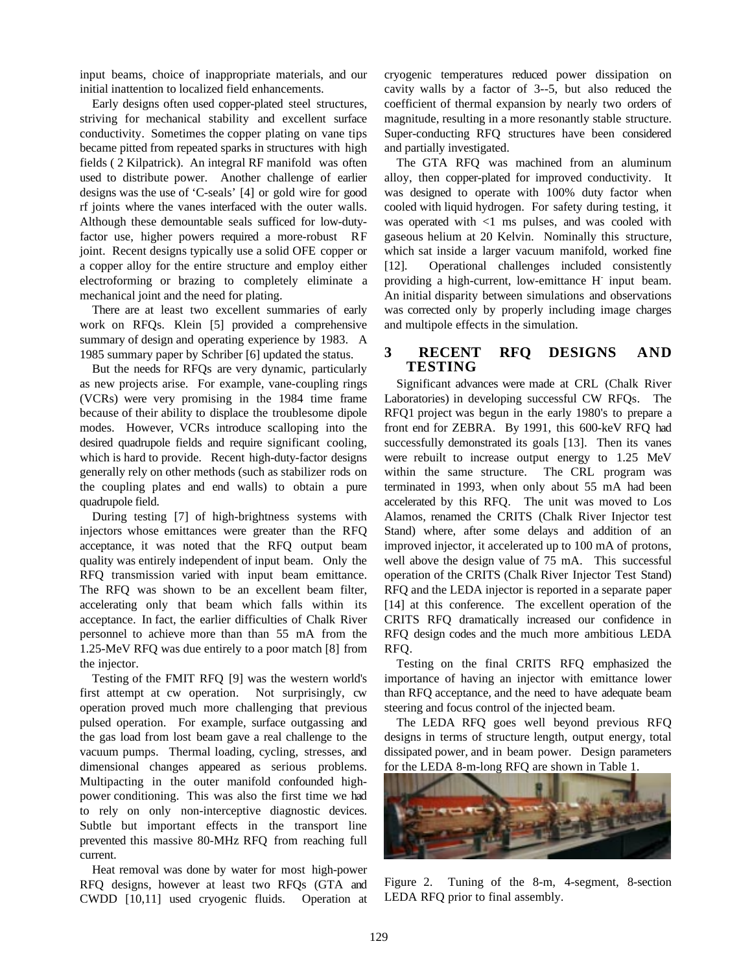input beams, choice of inappropriate materials, and our initial inattention to localized field enhancements.

Early designs often used copper-plated steel structures, striving for mechanical stability and excellent surface conductivity. Sometimes the copper plating on vane tips became pitted from repeated sparks in structures with high fields ( 2 Kilpatrick). An integral RF manifold was often used to distribute power. Another challenge of earlier designs was the use of 'C-seals' [4] or gold wire for good rf joints where the vanes interfaced with the outer walls. Although these demountable seals sufficed for low-dutyfactor use, higher powers required a more-robust RF joint. Recent designs typically use a solid OFE copper or a copper alloy for the entire structure and employ either electroforming or brazing to completely eliminate a mechanical joint and the need for plating.

There are at least two excellent summaries of early work on RFQs. Klein [5] provided a comprehensive summary of design and operating experience by 1983. A 1985 summary paper by Schriber [6] updated the status.

But the needs for RFQs are very dynamic, particularly as new projects arise. For example, vane-coupling rings (VCRs) were very promising in the 1984 time frame because of their ability to displace the troublesome dipole modes. However, VCRs introduce scalloping into the desired quadrupole fields and require significant cooling, which is hard to provide. Recent high-duty-factor designs generally rely on other methods (such as stabilizer rods on the coupling plates and end walls) to obtain a pure quadrupole field.

During testing [7] of high-brightness systems with injectors whose emittances were greater than the RFQ acceptance, it was noted that the RFQ output beam quality was entirely independent of input beam. Only the RFQ transmission varied with input beam emittance. The RFQ was shown to be an excellent beam filter, accelerating only that beam which falls within its acceptance. In fact, the earlier difficulties of Chalk River personnel to achieve more than than 55 mA from the 1.25-MeV RFQ was due entirely to a poor match [8] from the injector.

Testing of the FMIT RFQ [9] was the western world's first attempt at cw operation. Not surprisingly, cw operation proved much more challenging that previous pulsed operation. For example, surface outgassing and the gas load from lost beam gave a real challenge to the vacuum pumps. Thermal loading, cycling, stresses, and dimensional changes appeared as serious problems. Multipacting in the outer manifold confounded highpower conditioning. This was also the first time we had to rely on only non-interceptive diagnostic devices. Subtle but important effects in the transport line prevented this massive 80-MHz RFQ from reaching full current.

Heat removal was done by water for most high-power RFQ designs, however at least two RFQs (GTA and CWDD [10,11] used cryogenic fluids. Operation at cryogenic temperatures reduced power dissipation on cavity walls by a factor of 3--5, but also reduced the coefficient of thermal expansion by nearly two orders of magnitude, resulting in a more resonantly stable structure. Super-conducting RFQ structures have been considered and partially investigated.

The GTA RFQ was machined from an aluminum alloy, then copper-plated for improved conductivity. It was designed to operate with 100% duty factor when cooled with liquid hydrogen. For safety during testing, it was operated with <1 ms pulses, and was cooled with gaseous helium at 20 Kelvin. Nominally this structure, which sat inside a larger vacuum manifold, worked fine [12]. Operational challenges included consistently providing a high-current, low-emittance H input beam. An initial disparity between simulations and observations was corrected only by properly including image charges and multipole effects in the simulation.

## **3 RECENT RFQ DESIGNS AND TESTING**

Significant advances were made at CRL (Chalk River Laboratories) in developing successful CW RFQs. The RFQ1 project was begun in the early 1980's to prepare a front end for ZEBRA. By 1991, this 600-keV RFQ had successfully demonstrated its goals [13]. Then its vanes were rebuilt to increase output energy to 1.25 MeV within the same structure. The CRL program was terminated in 1993, when only about 55 mA had been accelerated by this RFQ. The unit was moved to Los Alamos, renamed the CRITS (Chalk River Injector test Stand) where, after some delays and addition of an improved injector, it accelerated up to 100 mA of protons, well above the design value of 75 mA. This successful operation of the CRITS (Chalk River Injector Test Stand) RFQ and the LEDA injector is reported in a separate paper [14] at this conference. The excellent operation of the CRITS RFQ dramatically increased our confidence in RFQ design codes and the much more ambitious LEDA RFQ.

Testing on the final CRITS RFQ emphasized the importance of having an injector with emittance lower than RFQ acceptance, and the need to have adequate beam steering and focus control of the injected beam.

The LEDA RFQ goes well beyond previous RFQ designs in terms of structure length, output energy, total dissipated power, and in beam power. Design parameters for the LEDA 8-m-long RFQ are shown in Table 1.



Figure 2. Tuning of the 8-m, 4-segment, 8-section LEDA RFQ prior to final assembly.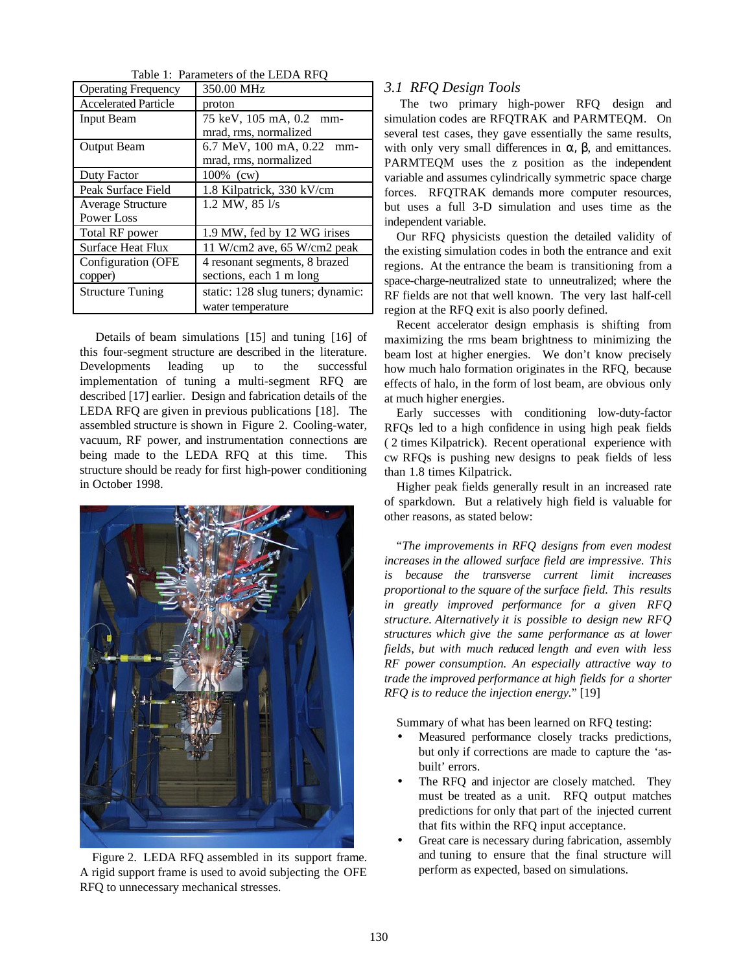| <b>Operating Frequency</b>  | 350.00 MHz                        |
|-----------------------------|-----------------------------------|
| <b>Accelerated Particle</b> | proton                            |
| <b>Input Beam</b>           | 75 keV, 105 mA, 0.2<br>mm-        |
|                             | mrad, rms, normalized             |
| <b>Output Beam</b>          | 6.7 MeV, 100 mA, 0.22<br>mm-      |
|                             | mrad, rms, normalized             |
| Duty Factor                 | 100% (cw)                         |
| Peak Surface Field          | 1.8 Kilpatrick, 330 kV/cm         |
| <b>Average Structure</b>    | 1.2 MW, 85 l/s                    |
| Power Loss                  |                                   |
| Total RF power              | 1.9 MW, fed by 12 WG irises       |
| <b>Surface Heat Flux</b>    | 11 W/cm2 ave, 65 W/cm2 peak       |
| Configuration (OFE          | 4 resonant segments, 8 brazed     |
| copper)                     | sections, each 1 m long           |
| <b>Structure Tuning</b>     | static: 128 slug tuners; dynamic: |
|                             | water temperature                 |

Table 1: Parameters of the LEDA RFQ

 Details of beam simulations [15] and tuning [16] of this four-segment structure are described in the literature. Developments leading up to the successful implementation of tuning a multi-segment RFQ are described [17] earlier. Design and fabrication details of the LEDA RFQ are given in previous publications [18]. The assembled structure is shown in Figure 2. Cooling-water, vacuum, RF power, and instrumentation connections are being made to the LEDA RFQ at this time. This structure should be ready for first high-power conditioning in October 1998.



Figure 2. LEDA RFQ assembled in its support frame. A rigid support frame is used to avoid subjecting the OFE RFQ to unnecessary mechanical stresses.

# *3.1 RFQ Design Tools*

 The two primary high-power RFQ design and simulation codes are RFQTRAK and PARMTEQM. On several test cases, they gave essentially the same results, with only very small differences in  $\alpha$ ,  $\beta$ , and emittances. PARMTEQM uses the z position as the independent variable and assumes cylindrically symmetric space charge forces. RFQTRAK demands more computer resources, but uses a full 3-D simulation and uses time as the independent variable.

Our RFQ physicists question the detailed validity of the existing simulation codes in both the entrance and exit regions. At the entrance the beam is transitioning from a space-charge-neutralized state to unneutralized; where the RF fields are not that well known. The very last half-cell region at the RFQ exit is also poorly defined.

Recent accelerator design emphasis is shifting from maximizing the rms beam brightness to minimizing the beam lost at higher energies. We don't know precisely how much halo formation originates in the RFQ, because effects of halo, in the form of lost beam, are obvious only at much higher energies.

Early successes with conditioning low-duty-factor RFQs led to a high confidence in using high peak fields ( 2 times Kilpatrick). Recent operational experience with cw RFQs is pushing new designs to peak fields of less than 1.8 times Kilpatrick.

Higher peak fields generally result in an increased rate of sparkdown. But a relatively high field is valuable for other reasons, as stated below:

"*The improvements in RFQ designs from even modest increases in the allowed surface field are impressive. This is because the transverse current limit increases proportional to the square of the surface field. This results in greatly improved performance for a given RFQ structure. Alternatively it is possible to design new RFQ structures which give the same performance as at lower fields, but with much reduced length and even with less RF power consumption. An especially attractive way to trade the improved performance at high fields for a shorter RFQ is to reduce the injection energy.*" [19]

Summary of what has been learned on RFQ testing:

- Measured performance closely tracks predictions, but only if corrections are made to capture the 'asbuilt' errors.
- The RFO and injector are closely matched. They must be treated as a unit. RFQ output matches predictions for only that part of the injected current that fits within the RFQ input acceptance.
- Great care is necessary during fabrication, assembly and tuning to ensure that the final structure will perform as expected, based on simulations.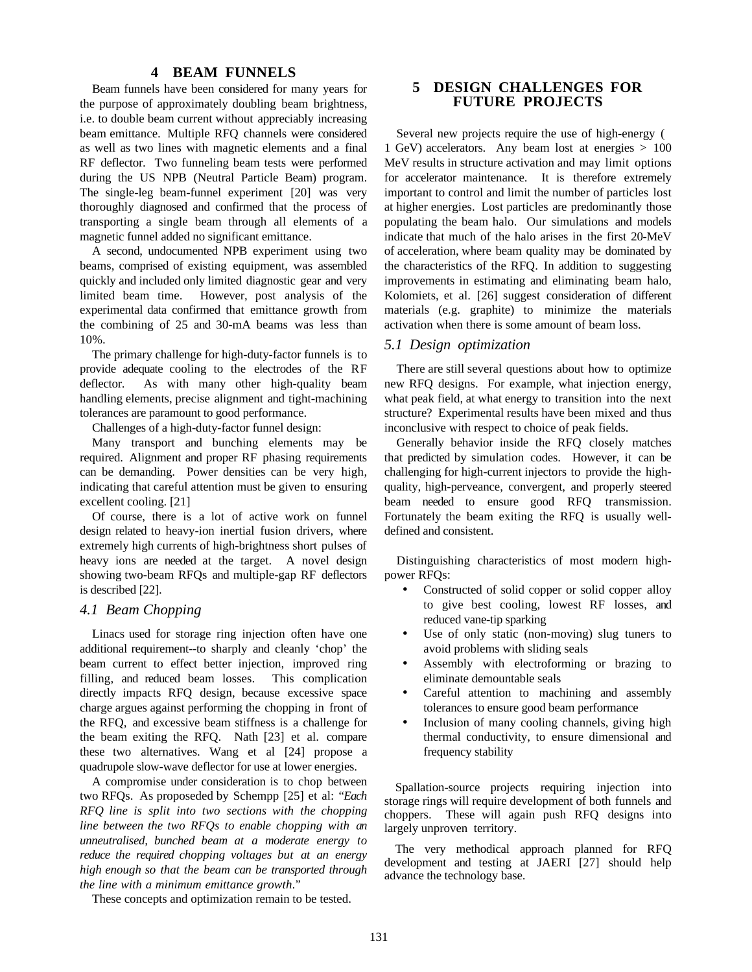#### **4 BEAM FUNNELS**

Beam funnels have been considered for many years for the purpose of approximately doubling beam brightness, i.e. to double beam current without appreciably increasing beam emittance. Multiple RFQ channels were considered as well as two lines with magnetic elements and a final RF deflector. Two funneling beam tests were performed during the US NPB (Neutral Particle Beam) program. The single-leg beam-funnel experiment [20] was very thoroughly diagnosed and confirmed that the process of transporting a single beam through all elements of a magnetic funnel added no significant emittance.

A second, undocumented NPB experiment using two beams, comprised of existing equipment, was assembled quickly and included only limited diagnostic gear and very limited beam time. However, post analysis of the experimental data confirmed that emittance growth from the combining of 25 and 30-mA beams was less than 10%.

The primary challenge for high-duty-factor funnels is to provide adequate cooling to the electrodes of the RF deflector. As with many other high-quality beam handling elements, precise alignment and tight-machining tolerances are paramount to good performance.

Challenges of a high-duty-factor funnel design:

Many transport and bunching elements may be required. Alignment and proper RF phasing requirements can be demanding. Power densities can be very high, indicating that careful attention must be given to ensuring excellent cooling. [21]

Of course, there is a lot of active work on funnel design related to heavy-ion inertial fusion drivers, where extremely high currents of high-brightness short pulses of heavy ions are needed at the target. A novel design showing two-beam RFQs and multiple-gap RF deflectors is described [22].

## *4.1 Beam Chopping*

Linacs used for storage ring injection often have one additional requirement--to sharply and cleanly 'chop' the beam current to effect better injection, improved ring filling, and reduced beam losses. This complication directly impacts RFQ design, because excessive space charge argues against performing the chopping in front of the RFQ, and excessive beam stiffness is a challenge for the beam exiting the RFQ. Nath [23] et al. compare these two alternatives. Wang et al [24] propose a quadrupole slow-wave deflector for use at lower energies.

A compromise under consideration is to chop between two RFQs. As proposeded by Schempp [25] et al: "*Each RFQ line is split into two sections with the chopping line between the two RFQs to enable chopping with an unneutralised, bunched beam at a moderate energy to reduce the required chopping voltages but at an energy high enough so that the beam can be transported through the line with a minimum emittance growth*."

These concepts and optimization remain to be tested.

# **5 DESIGN CHALLENGES FOR FUTURE PROJECTS**

Several new projects require the use of high-energy ( 1 GeV) accelerators. Any beam lost at energies > 100 MeV results in structure activation and may limit options for accelerator maintenance. It is therefore extremely important to control and limit the number of particles lost at higher energies. Lost particles are predominantly those populating the beam halo. Our simulations and models indicate that much of the halo arises in the first 20-MeV of acceleration, where beam quality may be dominated by the characteristics of the RFQ. In addition to suggesting improvements in estimating and eliminating beam halo, Kolomiets, et al. [26] suggest consideration of different materials (e.g. graphite) to minimize the materials activation when there is some amount of beam loss.

#### *5.1 Design optimization*

There are still several questions about how to optimize new RFQ designs. For example, what injection energy, what peak field, at what energy to transition into the next structure? Experimental results have been mixed and thus inconclusive with respect to choice of peak fields.

Generally behavior inside the RFQ closely matches that predicted by simulation codes. However, it can be challenging for high-current injectors to provide the highquality, high-perveance, convergent, and properly steered beam needed to ensure good RFQ transmission. Fortunately the beam exiting the RFQ is usually welldefined and consistent.

Distinguishing characteristics of most modern highpower RFQs:

- Constructed of solid copper or solid copper alloy to give best cooling, lowest RF losses, and reduced vane-tip sparking
- Use of only static (non-moving) slug tuners to avoid problems with sliding seals
- Assembly with electroforming or brazing to eliminate demountable seals
- Careful attention to machining and assembly tolerances to ensure good beam performance
- Inclusion of many cooling channels, giving high thermal conductivity, to ensure dimensional and frequency stability

Spallation-source projects requiring injection into storage rings will require development of both funnels and choppers. These will again push RFQ designs into largely unproven territory.

The very methodical approach planned for RFQ development and testing at JAERI [27] should help advance the technology base.